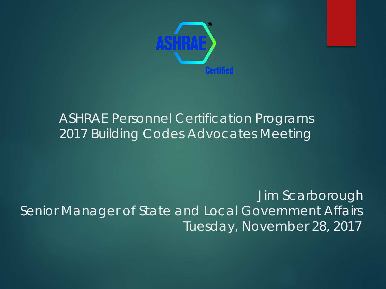

#### ASHRAE Personnel Certification Programs 2017 Building Codes Advocates Meeting

Jim Scarborough Senior Manager of State and Local Government Affairs Tuesday, November 28, 2017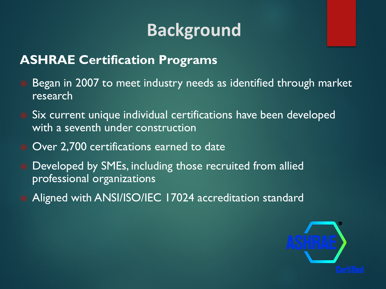## **Background**

#### **ASHRAE Certification Programs**

- Began in 2007 to meet industry needs as identified through market research
- Six current unique individual certifications have been developed with a seventh under construction
- Over 2,700 certifications earned to date
- **Developed by SMEs, including those recruited from allied** professional organizations
- Aligned with ANSI/ISO/IEC 17024 accreditation standard

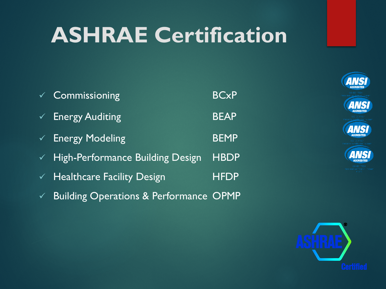## **ASHRAE Certification**

| $\checkmark$ Commissioning                    | <b>BCxP</b> |
|-----------------------------------------------|-------------|
| V Energy Auditing                             | <b>BEAP</b> |
| $\checkmark$ Energy Modeling                  | <b>BEMP</b> |
| $\checkmark$ High-Performance Building Design | <b>HBDP</b> |
| $\checkmark$ Healthcare Facility Design       | <b>HFDP</b> |
| $\chi$ Ruilding Operations & Performance OPMP |             |











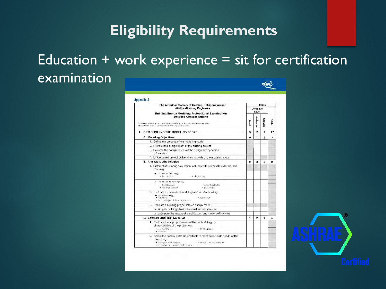#### **Eligibility Requirements**

#### Education  $+$  work experience  $=$  sit for certification examination ASHEAE

| The American Society of Heating, Refrigerating and                                                                                                                                                                      | <b>Items</b>   |                         |                |        |
|-------------------------------------------------------------------------------------------------------------------------------------------------------------------------------------------------------------------------|----------------|-------------------------|----------------|--------|
| <b>Air-Conditioning Engineers</b><br><b>Building Energy Modeling Professional Examination</b><br><b>Detailed Content Outline</b><br>Open cells show an examination could include items from incidated cognitive levels. |                | Cognitive<br>Level      |                |        |
|                                                                                                                                                                                                                         |                | Application<br>Analysis |                | Totals |
| Shaded cells present appearance of terns on examinations.                                                                                                                                                               | Recall         |                         |                |        |
| <b>I. ESTABLISHING THE MODELING SCOPE</b>                                                                                                                                                                               | 3              | 7                       | 7              | 17     |
| A. Modeling Objectives                                                                                                                                                                                                  | $\Omega$       | 1                       | $\mathfrak{p}$ | ä      |
| 1. Define the purpose of the modeling study                                                                                                                                                                             |                |                         |                |        |
| 2. Interpret the design intent of the building project                                                                                                                                                                  |                |                         |                |        |
| 3. Evaluate the completeness of the design and operation<br>information                                                                                                                                                 |                |                         |                |        |
| 4. Link required project deliverables to goals of the modeling study                                                                                                                                                    |                |                         |                |        |
| <b>B. Analysis Methodologies</b>                                                                                                                                                                                        | $\mathfrak{p}$ | з                       | 3              | 8      |
| 1. Differentiate among calculation methods within available software and<br>tools e.g.,                                                                                                                                 |                |                         |                |        |
| a. time-neutral e.g.,<br>· bin method<br>· degree day                                                                                                                                                                   |                |                         |                |        |
| b. time-sequencing e.g.,<br>· hast balance<br>- weighting factor<br>· thermal network.<br>· parametric                                                                                                                  |                |                         |                |        |
| 2. Evaluate mathematical modeling methods for building<br>components e.g.,<br>· regression<br>· empirical<br>· first-principle of thermoovnamics                                                                        |                |                         |                |        |
| 3. Translate a building project into an energy model                                                                                                                                                                    |                |                         |                |        |
| a. simplify building physics to a mathematical model                                                                                                                                                                    |                |                         |                |        |
| b. anticipate the impact of simplification and model deficiencies                                                                                                                                                       |                |                         |                |        |
| C. Software and Tool Selection                                                                                                                                                                                          | $\mathbf{1}$   | $\mathbf{2}$            | 1              | 4      |
| 1. Evaluate the appropriateness of the methodology by<br>characteristics of the project e.g.,<br>· building type<br>· project phase<br>· climate:                                                                       |                |                         |                |        |
| 2. Select the optimal software and tools to meet output data needs of the<br>project e.g.,<br>· l'fe-cycle cost analysis.<br>· energy use and demand<br>· individual component performance                              |                |                         |                |        |

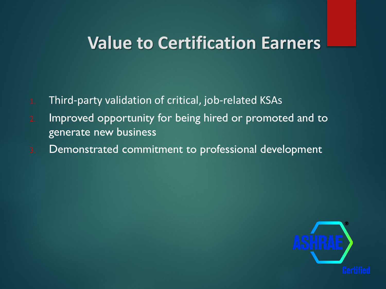### **Value to Certification Earners**

- 1. Third-party validation of critical, job-related KSAs
- 2. Improved opportunity for being hired or promoted and to generate new business
- 3. Demonstrated commitment to professional development

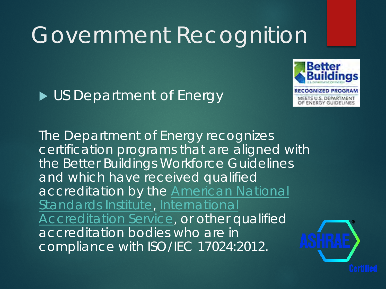

#### US Department of Energy

The Department of Energy recognizes certification programs that are aligned with the Better Buildings Workforce Guidelines and which have received qualified [accreditation by the](http://www.ansi.org/) American National Standards Institute, International [Accreditation Service, or other q](http://www.iasonline.org/)ualified accreditation bodies who are in compliance with ISO/IEC 17024:2012.

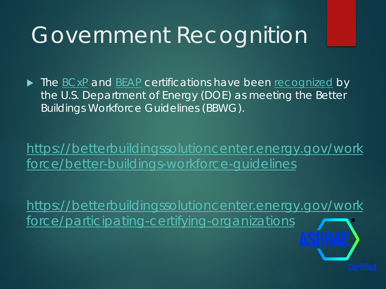The [BCxP](https://www.ashrae.org/education-certification/certification/bcxp-building-commissioning-professional-certification) and [BEAP](https://www.ashrae.org/education-certification/certification/beap-building-energy-assessment-professional-certification) certifications have been [recognized](https://betterbuildingssolutioncenter.energy.gov/workforce/participating-certifying-organizations) by the U.S. Department of Energy (DOE) as meeting the Better Buildings Workforce Guidelines (BBWG).

[https://betterbuildingssolutioncenter.energy.gov/work](https://betterbuildingssolutioncenter.energy.gov/workforce/better-buildings-workforce-guidelines) force/better-buildings-workforce-guidelines

[https://betterbuildingssolutioncenter.energy.gov/work](https://betterbuildingssolutioncenter.energy.gov/workforce/participating-certifying-organizations) force/participating-certifying-organizations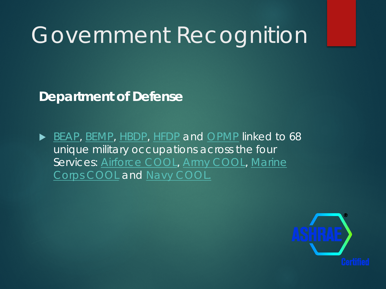**Department of Defense**

[BEAP](https://www.ashrae.org/education-certification/certification/beap-building-energy-assessment-professional-certification), [BEMP,](https://www.ashrae.org/education-certification/certification/bemp-building-energy-modeling-professional-certification) [HBDP,](https://www.ashrae.org/education-certification/certification/hbdp-high-performance-building-design-professional-certification) [HFDP](https://www.ashrae.org/education-certification/certification/hfdp-healthcare-facility-design-professional-certification) and [OPMP](https://www.ashrae.org/education-certification/certification/opmp-operations-and-performance-management-professional-certification) linked to 68 unique military occupations across the four [Services: Airforce COOL, Army COOL, Marine](http://www.cool.navy.mil/usmc/index.htm) Corps COOL and [Navy COOL.](http://www.cool.navy.mil/usn/index.htm)

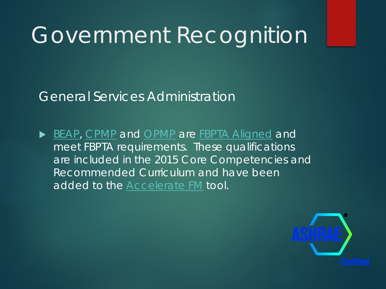General Services Administration

[BEAP](https://www.ashrae.org/education-certification/certification/beap-building-energy-assessment-professional-certification), [CPMP](https://www.ashrae.org/education-certification/certification/cpmp-commissioning-process-management-professional-certification/bcxp-recertification) and [OPMP](https://www.ashrae.org/education-certification/certification/opmp-operations-and-performance-management-professional-certification) are [FBPTA Aligned](https://www.ashrae.org/education-certification/certification/fbpta-aligned) and meet FBPTA requirements. These qualifications are included in the 2015 Core Competencies and Recommended Curriculum and have been added to the [Accelerate FM](https://acceleratefm.us/account/login/?ReturnUrl=/) tool.